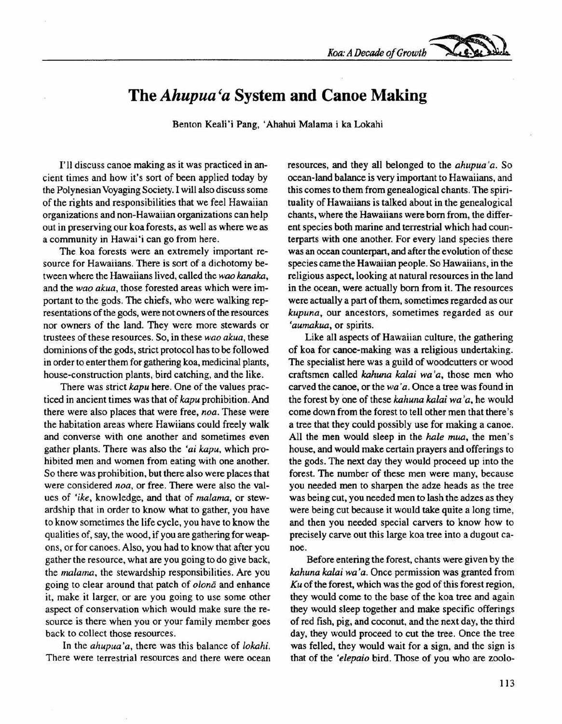*Koa:ADecade of Growth ~*

## **The** *Ahupua'a* **System and Canoe Making**

Benton Keali'i Pang, 'Ahahui Malama i ka Lokahi

I'll discuss canoe making as it was practiced in ancient times and how it's sort of been applied today by the Polynesian Voyaging Society. I will also discuss some of the rights and responsibilities that we feel Hawaiian organizations and non-Hawaiian organizations can help out in preserving our koa forests, as well as where we as a community in Hawai'i can go from here.

The koa forests were an extremely important resource for Hawaiians. There is sort of a dichotomy between where the Hawaiians lived, called the *wao kanaka,* and the *wao akua,* those forested areas which were important to the gods. The chiefs, who were walking representations of the gods, were not owners of the resources nor owners of the land. They were more stewards or trustees of these resources. So, in these *wao akua,* these dominions of the gods, strict protocol has to be followed in order to enter them for gathering koa, medicinal plants, house-construction plants, bird catching, and the like.

There was strict *kapu* here. One of the values practiced in ancient times was that of *kapu* prohibition. And there were also places that were free, *noa.* These were the habitation areas where Hawiians could freely walk and converse with one another and sometimes even gather plants. There was also the *'ai kapu,* which prohibited men and women from eating with one another. So there was prohibition, but there also were places that were considered *noa,* or free. There were also the values of *'ike,* knowledge, and that of *malama,* or stewardship that in order to know what to gather, you have to know sometimes the life cycle, you have to know the qualities of, say, the wood, if you are gathering for weapons, or for canoes. Also, you had to know that after you gather the resource, what are you going to do give back, the *malama,* the stewardship responsibilities. Are you going to clear around that patch of *olonā* and enhance it, make it larger, or are you going to use some other aspect of conservation which would make sure the resource is there when you or your family member goes back to collect those resources.

In the *ahupua'a,* there was this balance of *lokahi.* There were terrestrial resources and there were ocean resources, and they all belonged to the *ahupua'a*. So ocean-land balance is very important to Hawaiians, and this comes to them from genealogical chants. The spirituality of Hawaiians is talked about in the genealogical chants, where the Hawaiians were born from, the different species both marine and terrestrial which had counterparts with one another. For every land species there was an ocean counterpart, and after the evolution of these species came the Hawaiian people. So Hawaiians, in the religious aspect, looking at natural resources in the land in the ocean, were actually born from it. The resources were actually a part of them, sometimes regarded as our *kupuna,* our ancestors, sometimes regarded as our *'aumakua,* or spirits.

Like all aspects of Hawaiian culture, the gathering of koa for canoe-making was a religious undertaking. The specialist here was a guild of woodcutters or wood craftsmen called *kahuna kalai wa'a*, those men who carved the canoe, or the *wa 'a.* Once a tree was found in the forest by one of these *kahuna kalai wa 'a,* he would come down from the forest to tell other men that there's a tree that they could possibly use for making a canoe. All the men would sleep in the *hale mua,* the men's house, and would make certain prayers and offerings to the gods. The next day they would proceed up into the forest. The number of these men were many, because you needed men to sharpen the adze heads as the tree was being cut, you needed men to lash the adzes as they were being cut because it would take quite a long time, and then you needed special carvers to know how to precisely carve out this large koa tree into a dugout canoe.

Before entering the forest, chants were given by the *kahuna kalai wa'a.* Once permission was granted from *Ku* of the forest, which was the god of this forest region, they would come to the base of the koa tree and again they would sleep together and make specific offerings of red fish, pig, and coconut, and the next day, the third day, they would proceed to cut the tree. Once the tree was felled, they would wait for a sign, and the sign is that of the *'elepaio* bird. Those of you who are zoolo